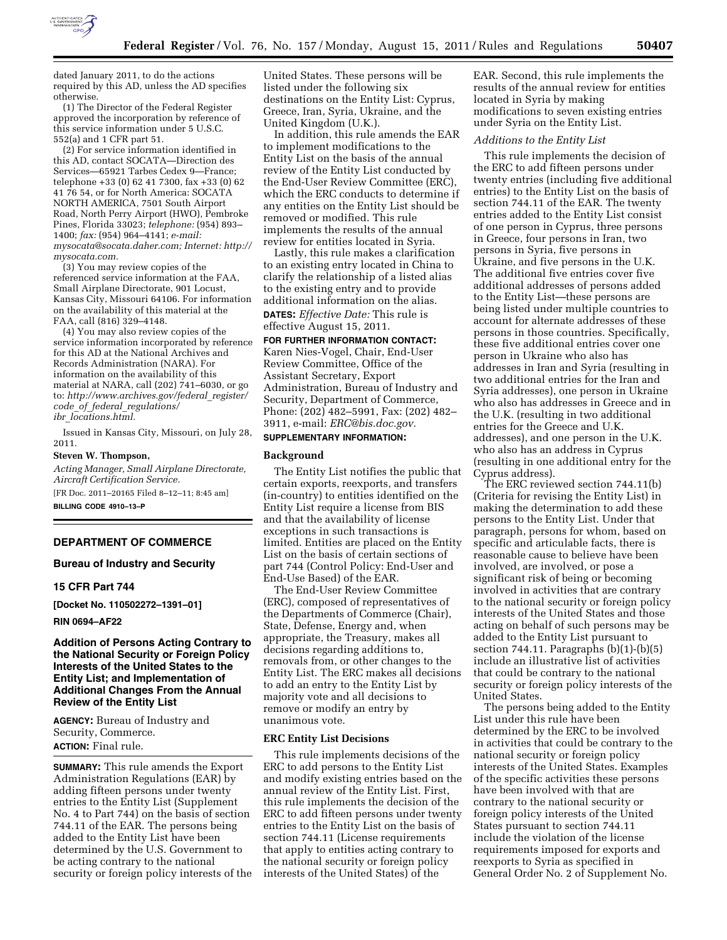

dated January 2011, to do the actions required by this AD, unless the AD specifies otherwise.

(1) The Director of the Federal Register approved the incorporation by reference of this service information under 5 U.S.C. 552(a) and 1 CFR part 51.

(2) For service information identified in this AD, contact SOCATA—Direction des Services—65921 Tarbes Cedex 9—France; telephone +33 (0) 62 41 7300, fax +33 (0) 62 41 76 54, or for North America: SOCATA NORTH AMERICA, 7501 South Airport Road, North Perry Airport (HWO), Pembroke Pines, Florida 33023; *telephone:* (954) 893– 1400; *fax:* (954) 964–4141; *e-mail: [mysocata@socata.daher.com;](mailto:mysocata@socata.daher.com) Internet[: http://](http://mysocata.com)  [mysocata.com.](http://mysocata.com)* 

(3) You may review copies of the referenced service information at the FAA, Small Airplane Directorate, 901 Locust, Kansas City, Missouri 64106. For information on the availability of this material at the FAA, call (816) 329–4148.

(4) You may also review copies of the service information incorporated by reference for this AD at the National Archives and Records Administration (NARA). For information on the availability of this material at NARA, call (202) 741–6030, or go to: *[http://www.archives.gov/federal](http://www.archives.gov/federal_register/code_of_federal_regulations/ibr_locations.html)*\_*register/ code*\_*of*\_*federal*\_*[regulations/](http://www.archives.gov/federal_register/code_of_federal_regulations/ibr_locations.html) ibr*\_*[locations.html.](http://www.archives.gov/federal_register/code_of_federal_regulations/ibr_locations.html)* 

Issued in Kansas City, Missouri, on July 28, 2011.

#### **Steven W. Thompson,**

*Acting Manager, Small Airplane Directorate, Aircraft Certification Service.*  [FR Doc. 2011–20165 Filed 8–12–11; 8:45 am]

**BILLING CODE 4910–13–P** 

# **DEPARTMENT OF COMMERCE**

### **Bureau of Industry and Security**

#### **15 CFR Part 744**

**[Docket No. 110502272–1391–01]** 

**RIN 0694–AF22** 

## **Addition of Persons Acting Contrary to the National Security or Foreign Policy Interests of the United States to the Entity List; and Implementation of Additional Changes From the Annual Review of the Entity List**

**AGENCY:** Bureau of Industry and Security, Commerce. **ACTION:** Final rule.

**SUMMARY:** This rule amends the Export Administration Regulations (EAR) by adding fifteen persons under twenty entries to the Entity List (Supplement No. 4 to Part 744) on the basis of section 744.11 of the EAR. The persons being added to the Entity List have been determined by the U.S. Government to be acting contrary to the national security or foreign policy interests of the United States. These persons will be listed under the following six destinations on the Entity List: Cyprus, Greece, Iran, Syria, Ukraine, and the United Kingdom (U.K.).

In addition, this rule amends the EAR to implement modifications to the Entity List on the basis of the annual review of the Entity List conducted by the End-User Review Committee (ERC), which the ERC conducts to determine if any entities on the Entity List should be removed or modified. This rule implements the results of the annual review for entities located in Syria.

Lastly, this rule makes a clarification to an existing entry located in China to clarify the relationship of a listed alias to the existing entry and to provide additional information on the alias. **DATES:** *Effective Date:* This rule is effective August 15, 2011.

**FOR FURTHER INFORMATION CONTACT:**  Karen Nies-Vogel, Chair, End-User Review Committee, Office of the Assistant Secretary, Export Administration, Bureau of Industry and Security, Department of Commerce, Phone: (202) 482–5991, Fax: (202) 482– 3911, e-mail: *[ERC@bis.doc.gov.](mailto:ERC@bis.doc.gov)* 

# **SUPPLEMENTARY INFORMATION:**

### **Background**

The Entity List notifies the public that certain exports, reexports, and transfers (in-country) to entities identified on the Entity List require a license from BIS and that the availability of license exceptions in such transactions is limited. Entities are placed on the Entity List on the basis of certain sections of part 744 (Control Policy: End-User and End-Use Based) of the EAR.

The End-User Review Committee (ERC), composed of representatives of the Departments of Commerce (Chair), State, Defense, Energy and, when appropriate, the Treasury, makes all decisions regarding additions to, removals from, or other changes to the Entity List. The ERC makes all decisions to add an entry to the Entity List by majority vote and all decisions to remove or modify an entry by unanimous vote.

### **ERC Entity List Decisions**

This rule implements decisions of the ERC to add persons to the Entity List and modify existing entries based on the annual review of the Entity List. First, this rule implements the decision of the ERC to add fifteen persons under twenty entries to the Entity List on the basis of section 744.11 (License requirements that apply to entities acting contrary to the national security or foreign policy interests of the United States) of the

EAR. Second, this rule implements the results of the annual review for entities located in Syria by making modifications to seven existing entries under Syria on the Entity List.

### *Additions to the Entity List*

This rule implements the decision of the ERC to add fifteen persons under twenty entries (including five additional entries) to the Entity List on the basis of section 744.11 of the EAR. The twenty entries added to the Entity List consist of one person in Cyprus, three persons in Greece, four persons in Iran, two persons in Syria, five persons in Ukraine, and five persons in the U.K. The additional five entries cover five additional addresses of persons added to the Entity List—these persons are being listed under multiple countries to account for alternate addresses of these persons in those countries. Specifically, these five additional entries cover one person in Ukraine who also has addresses in Iran and Syria (resulting in two additional entries for the Iran and Syria addresses), one person in Ukraine who also has addresses in Greece and in the U.K. (resulting in two additional entries for the Greece and U.K. addresses), and one person in the U.K. who also has an address in Cyprus (resulting in one additional entry for the Cyprus address).

The ERC reviewed section 744.11(b) (Criteria for revising the Entity List) in making the determination to add these persons to the Entity List. Under that paragraph, persons for whom, based on specific and articulable facts, there is reasonable cause to believe have been involved, are involved, or pose a significant risk of being or becoming involved in activities that are contrary to the national security or foreign policy interests of the United States and those acting on behalf of such persons may be added to the Entity List pursuant to section 744.11. Paragraphs  $(b)(1)-(b)(5)$ include an illustrative list of activities that could be contrary to the national security or foreign policy interests of the United States.

The persons being added to the Entity List under this rule have been determined by the ERC to be involved in activities that could be contrary to the national security or foreign policy interests of the United States. Examples of the specific activities these persons have been involved with that are contrary to the national security or foreign policy interests of the United States pursuant to section 744.11 include the violation of the license requirements imposed for exports and reexports to Syria as specified in General Order No. 2 of Supplement No.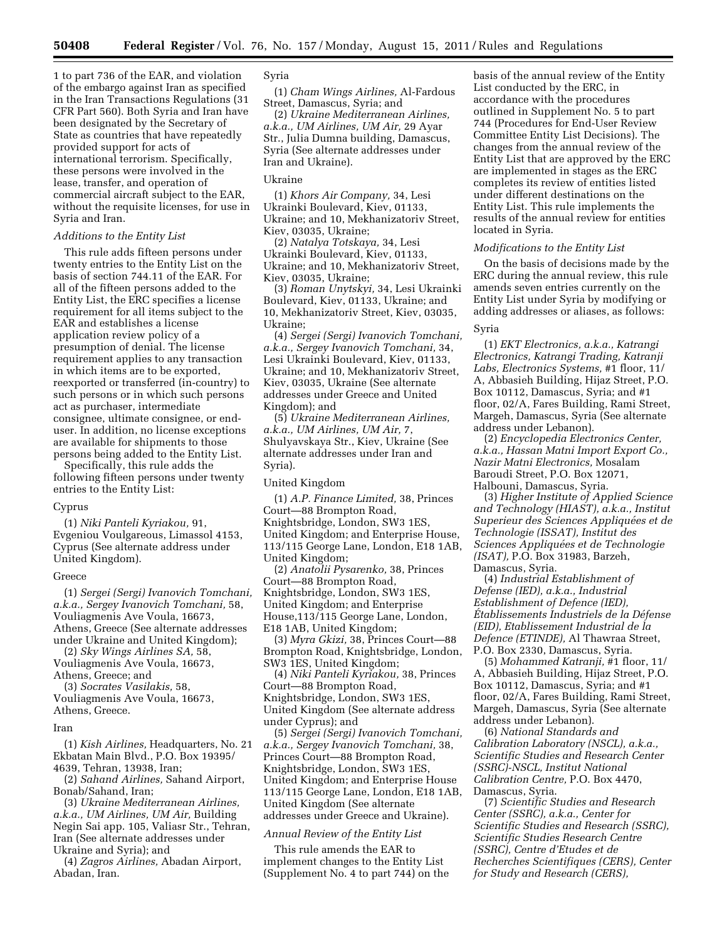1 to part 736 of the EAR, and violation of the embargo against Iran as specified in the Iran Transactions Regulations (31 CFR Part 560). Both Syria and Iran have been designated by the Secretary of State as countries that have repeatedly provided support for acts of international terrorism. Specifically, these persons were involved in the lease, transfer, and operation of commercial aircraft subject to the EAR, without the requisite licenses, for use in Syria and Iran.

## *Additions to the Entity List*

This rule adds fifteen persons under twenty entries to the Entity List on the basis of section 744.11 of the EAR. For all of the fifteen persons added to the Entity List, the ERC specifies a license requirement for all items subject to the EAR and establishes a license application review policy of a presumption of denial. The license requirement applies to any transaction in which items are to be exported, reexported or transferred (in-country) to such persons or in which such persons act as purchaser, intermediate consignee, ultimate consignee, or enduser. In addition, no license exceptions are available for shipments to those persons being added to the Entity List.

Specifically, this rule adds the following fifteen persons under twenty entries to the Entity List:

# Cyprus

(1) *Niki Panteli Kyriakou,* 91, Evgeniou Voulgareous, Limassol 4153, Cyprus (See alternate address under United Kingdom).

#### Greece

(1) *Sergei (Sergi) Ivanovich Tomchani, a.k.a., Sergey Ivanovich Tomchani,* 58, Vouliagmenis Ave Voula, 16673, Athens, Greece (See alternate addresses under Ukraine and United Kingdom);

(2) *Sky Wings Airlines SA,* 58, Vouliagmenis Ave Voula, 16673, Athens, Greece; and

(3) *Socrates Vasilakis,* 58,

Vouliagmenis Ave Voula, 16673, Athens, Greece.

#### Iran

(1) *Kish Airlines,* Headquarters, No. 21 Ekbatan Main Blvd., P.O. Box 19395/ 4639, Tehran, 13938, Iran;

(2) *Sahand Airlines,* Sahand Airport, Bonab/Sahand, Iran;

(3) *Ukraine Mediterranean Airlines, a.k.a., UM Airlines, UM Air,* Building Negin Sai app. 105, Valiasr Str., Tehran, Iran (See alternate addresses under Ukraine and Syria); and

(4) *Zagros Airlines,* Abadan Airport, Abadan, Iran.

# Syria

(1) *Cham Wings Airlines,* Al-Fardous Street, Damascus, Syria; and

(2) *Ukraine Mediterranean Airlines, a.k.a., UM Airlines, UM Air,* 29 Ayar Str., Julia Dumna building, Damascus, Syria (See alternate addresses under Iran and Ukraine).

#### Ukraine

(1) *Khors Air Company,* 34, Lesi Ukrainki Boulevard, Kiev, 01133, Ukraine; and 10, Mekhanizatoriv Street, Kiev, 03035, Ukraine;

(2) *Natalya Totskaya,* 34, Lesi Ukrainki Boulevard, Kiev, 01133, Ukraine; and 10, Mekhanizatoriv Street, Kiev, 03035, Ukraine;

(3) *Roman Unytskyi,* 34, Lesi Ukrainki Boulevard, Kiev, 01133, Ukraine; and 10, Mekhanizatoriv Street, Kiev, 03035, Ukraine;

(4) *Sergei (Sergi) Ivanovich Tomchani, a.k.a., Sergey Ivanovich Tomchani,* 34, Lesi Ukrainki Boulevard, Kiev, 01133, Ukraine; and 10, Mekhanizatoriv Street, Kiev, 03035, Ukraine (See alternate addresses under Greece and United Kingdom); and

(5) *Ukraine Mediterranean Airlines, a.k.a., UM Airlines, UM Air,* 7, Shulyavskaya Str., Kiev, Ukraine (See alternate addresses under Iran and Syria).

United Kingdom

(1) *A.P. Finance Limited,* 38, Princes Court—88 Brompton Road, Knightsbridge, London, SW3 1ES, United Kingdom; and Enterprise House, 113/115 George Lane, London, E18 1AB, United Kingdom;

(2) *Anatolii Pysarenko,* 38, Princes Court—88 Brompton Road, Knightsbridge, London, SW3 1ES, United Kingdom; and Enterprise House,113/115 George Lane, London, E18 1AB, United Kingdom;

(3) *Myra Gkizi,* 38, Princes Court—88 Brompton Road, Knightsbridge, London, SW3 1ES, United Kingdom;

(4) *Niki Panteli Kyriakou,* 38, Princes Court—88 Brompton Road, Knightsbridge, London, SW3 1ES, United Kingdom (See alternate address under Cyprus); and

(5) *Sergei (Sergi) Ivanovich Tomchani, a.k.a., Sergey Ivanovich Tomchani,* 38, Princes Court—88 Brompton Road, Knightsbridge, London, SW3 1ES, United Kingdom; and Enterprise House 113/115 George Lane, London, E18 1AB, United Kingdom (See alternate addresses under Greece and Ukraine).

## *Annual Review of the Entity List*

This rule amends the EAR to implement changes to the Entity List (Supplement No. 4 to part 744) on the basis of the annual review of the Entity List conducted by the ERC, in accordance with the procedures outlined in Supplement No. 5 to part 744 (Procedures for End-User Review Committee Entity List Decisions). The changes from the annual review of the Entity List that are approved by the ERC are implemented in stages as the ERC completes its review of entities listed under different destinations on the Entity List. This rule implements the results of the annual review for entities located in Syria.

## *Modifications to the Entity List*

On the basis of decisions made by the ERC during the annual review, this rule amends seven entries currently on the Entity List under Syria by modifying or adding addresses or aliases, as follows:

# Syria

(1) *EKT Electronics, a.k.a., Katrangi Electronics, Katrangi Trading, Katranji Labs, Electronics Systems,* #1 floor, 11/ A, Abbasieh Building, Hijaz Street, P.O. Box 10112, Damascus, Syria; and #1 floor, 02/A, Fares Building, Rami Street, Margeh, Damascus, Syria (See alternate address under Lebanon).

(2) *Encyclopedia Electronics Center, a.k.a., Hassan Matni Import Export Co., Nazir Matni Electronics,* Mosalam Baroudi Street, P.O. Box 12071, Halbouni, Damascus, Syria.

(3) *Higher Institute of Applied Science and Technology (HIAST), a.k.a., Institut Superieur des Sciences Appliquées et de Technologie (ISSAT), Institut des*   $Sciences$  *Appliquées et de Technologie (ISAT),* P.O. Box 31983, Barzeh, Damascus, Syria.

(4) *Industrial Establishment of Defense (IED), a.k.a., Industrial Establishment of Defence (IED), E´ tablissements Industriels de la De´fense (EID), Etablissement Industrial de la Defence (ETINDE),* Al Thawraa Street, P.O. Box 2330, Damascus, Syria.

(5) *Mohammed Katranji,* #1 floor, 11/ A, Abbasieh Building, Hijaz Street, P.O. Box 10112, Damascus, Syria; and #1 floor, 02/A, Fares Building, Rami Street, Margeh, Damascus, Syria (See alternate address under Lebanon).

(6) *National Standards and Calibration Laboratory (NSCL), a.k.a., Scientific Studies and Research Center (SSRC)-NSCL, Institut National Calibration Centre,* P.O. Box 4470, Damascus, Syria.

(7) *Scientific Studies and Research Center (SSRC), a.k.a., Center for Scientific Studies and Research (SSRC), Scientific Studies Research Centre (SSRC), Centre d'Etudes et de Recherches Scientifiques (CERS), Center for Study and Research (CERS),*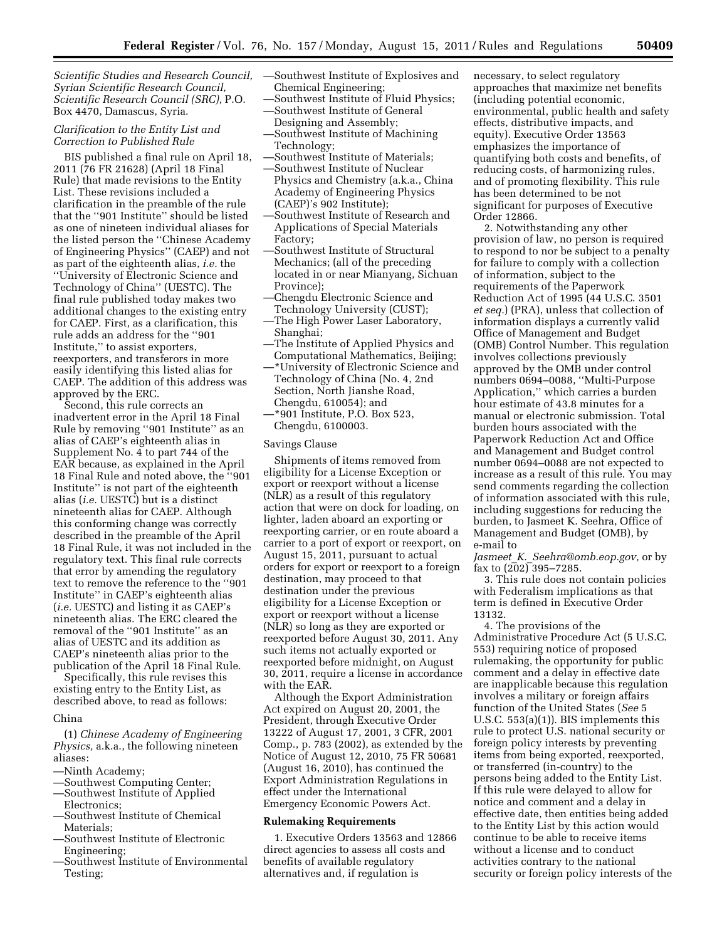*Scientific Studies and Research Council, Syrian Scientific Research Council, Scientific Research Council (SRC),* P.O. Box 4470, Damascus, Syria.

# *Clarification to the Entity List and Correction to Published Rule*

BIS published a final rule on April 18, 2011 (76 FR 21628) (April 18 Final Rule) that made revisions to the Entity List. These revisions included a clarification in the preamble of the rule that the ''901 Institute'' should be listed as one of nineteen individual aliases for the listed person the ''Chinese Academy of Engineering Physics'' (CAEP) and not as part of the eighteenth alias, *i.e.* the ''University of Electronic Science and Technology of China'' (UESTC). The final rule published today makes two additional changes to the existing entry for CAEP. First, as a clarification, this rule adds an address for the ''901 Institute,'' to assist exporters, reexporters, and transferors in more easily identifying this listed alias for CAEP. The addition of this address was approved by the ERC.

Second, this rule corrects an inadvertent error in the April 18 Final Rule by removing ''901 Institute'' as an alias of CAEP's eighteenth alias in Supplement No. 4 to part 744 of the EAR because, as explained in the April 18 Final Rule and noted above, the ''901 Institute'' is not part of the eighteenth alias (*i.e.* UESTC) but is a distinct nineteenth alias for CAEP. Although this conforming change was correctly described in the preamble of the April 18 Final Rule, it was not included in the regulatory text. This final rule corrects that error by amending the regulatory text to remove the reference to the ''901 Institute'' in CAEP's eighteenth alias (*i.e.* UESTC) and listing it as CAEP's nineteenth alias. The ERC cleared the removal of the ''901 Institute'' as an alias of UESTC and its addition as CAEP's nineteenth alias prior to the publication of the April 18 Final Rule.

Specifically, this rule revises this existing entry to the Entity List, as described above, to read as follows:

#### China

(1) *Chinese Academy of Engineering Physics,* a.k.a., the following nineteen aliases:

- —Ninth Academy;
- —Southwest Computing Center;
- —Southwest Institute of Applied
- Electronics; —Southwest Institute of Chemical Materials;
- —Southwest Institute of Electronic Engineering;
- —Southwest Institute of Environmental Testing;
- —Southwest Institute of Explosives and Chemical Engineering;
- —Southwest Institute of Fluid Physics;
- —Southwest Institute of General Designing and Assembly;
- —Southwest Institute of Machining Technology;
- —Southwest Institute of Materials;
- —Southwest Institute of Nuclear Physics and Chemistry (a.k.a., China Academy of Engineering Physics (CAEP)'s 902 Institute);
- —Southwest Institute of Research and Applications of Special Materials Factory;
- —Southwest Institute of Structural Mechanics; (all of the preceding located in or near Mianyang, Sichuan Province);
- —Chengdu Electronic Science and Technology University (CUST);
- —The High Power Laser Laboratory, Shanghai;
- —The Institute of Applied Physics and Computational Mathematics, Beijing;
- —\*University of Electronic Science and Technology of China (No. 4, 2nd Section, North Jianshe Road, Chengdu, 610054); and —\*901 Institute, P.O. Box 523,
- Chengdu, 6100003.

#### Savings Clause

Shipments of items removed from eligibility for a License Exception or export or reexport without a license (NLR) as a result of this regulatory action that were on dock for loading, on lighter, laden aboard an exporting or reexporting carrier, or en route aboard a carrier to a port of export or reexport, on August 15, 2011, pursuant to actual orders for export or reexport to a foreign destination, may proceed to that destination under the previous eligibility for a License Exception or export or reexport without a license (NLR) so long as they are exported or reexported before August 30, 2011. Any such items not actually exported or reexported before midnight, on August 30, 2011, require a license in accordance with the EAR.

Although the Export Administration Act expired on August 20, 2001, the President, through Executive Order 13222 of August 17, 2001, 3 CFR, 2001 Comp., p. 783 (2002), as extended by the Notice of August 12, 2010, 75 FR 50681 (August 16, 2010), has continued the Export Administration Regulations in effect under the International Emergency Economic Powers Act.

### **Rulemaking Requirements**

1. Executive Orders 13563 and 12866 direct agencies to assess all costs and benefits of available regulatory alternatives and, if regulation is

necessary, to select regulatory approaches that maximize net benefits (including potential economic, environmental, public health and safety effects, distributive impacts, and equity). Executive Order 13563 emphasizes the importance of quantifying both costs and benefits, of reducing costs, of harmonizing rules, and of promoting flexibility. This rule has been determined to be not significant for purposes of Executive Order 12866.

2. Notwithstanding any other provision of law, no person is required to respond to nor be subject to a penalty for failure to comply with a collection of information, subject to the requirements of the Paperwork Reduction Act of 1995 (44 U.S.C. 3501 *et seq.*) (PRA), unless that collection of information displays a currently valid Office of Management and Budget (OMB) Control Number. This regulation involves collections previously approved by the OMB under control numbers 0694–0088, ''Multi-Purpose Application,'' which carries a burden hour estimate of 43.8 minutes for a manual or electronic submission. Total burden hours associated with the Paperwork Reduction Act and Office and Management and Budget control number 0694–0088 are not expected to increase as a result of this rule. You may send comments regarding the collection of information associated with this rule, including suggestions for reducing the burden, to Jasmeet K. Seehra, Office of Management and Budget (OMB), by e-mail to

*Jasmeet*\_*K.*\_*[Seehra@omb.eop.gov,](mailto:Jasmeet_K._Seehra@omb.eop.gov)* or by fax to  $(202)$  395-7285.

3. This rule does not contain policies with Federalism implications as that term is defined in Executive Order 13132.

4. The provisions of the Administrative Procedure Act (5 U.S.C. 553) requiring notice of proposed rulemaking, the opportunity for public comment and a delay in effective date are inapplicable because this regulation involves a military or foreign affairs function of the United States (*See* 5 U.S.C. 553(a)(1)). BIS implements this rule to protect U.S. national security or foreign policy interests by preventing items from being exported, reexported, or transferred (in-country) to the persons being added to the Entity List. If this rule were delayed to allow for notice and comment and a delay in effective date, then entities being added to the Entity List by this action would continue to be able to receive items without a license and to conduct activities contrary to the national security or foreign policy interests of the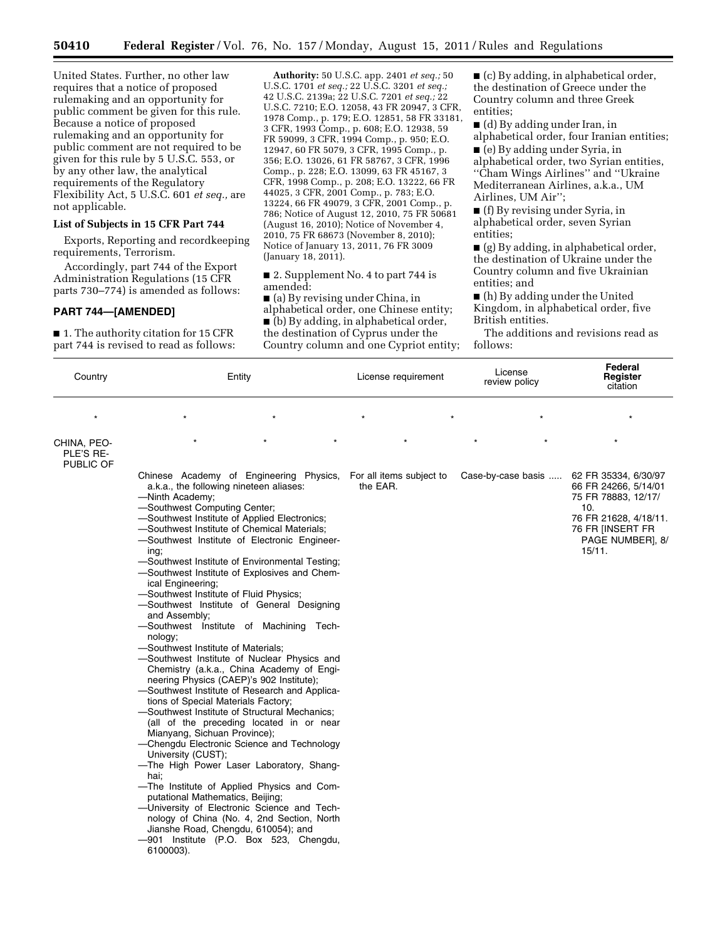United States. Further, no other law requires that a notice of proposed rulemaking and an opportunity for public comment be given for this rule. Because a notice of proposed rulemaking and an opportunity for public comment are not required to be given for this rule by 5 U.S.C. 553, or by any other law, the analytical requirements of the Regulatory Flexibility Act, 5 U.S.C. 601 *et seq.,* are not applicable.

## **List of Subjects in 15 CFR Part 744**

Exports, Reporting and recordkeeping requirements, Terrorism.

Accordingly, part 744 of the Export Administration Regulations (15 CFR parts 730–774) is amended as follows:

# **PART 744—[AMENDED]**

■ 1. The authority citation for 15 CFR part 744 is revised to read as follows:

**Authority:** 50 U.S.C. app. 2401 *et seq.;* 50 U.S.C. 1701 *et seq.;* 22 U.S.C. 3201 *et seq.;*  42 U.S.C. 2139a; 22 U.S.C. 7201 *et seq.;* 22 U.S.C. 7210; E.O. 12058, 43 FR 20947, 3 CFR, 1978 Comp., p. 179; E.O. 12851, 58 FR 33181, 3 CFR, 1993 Comp., p. 608; E.O. 12938, 59 FR 59099, 3 CFR, 1994 Comp., p. 950; E.O. 12947, 60 FR 5079, 3 CFR, 1995 Comp., p. 356; E.O. 13026, 61 FR 58767, 3 CFR, 1996 Comp., p. 228; E.O. 13099, 63 FR 45167, 3 CFR, 1998 Comp., p. 208; E.O. 13222, 66 FR 44025, 3 CFR, 2001 Comp., p. 783; E.O. 13224, 66 FR 49079, 3 CFR, 2001 Comp., p. 786; Notice of August 12, 2010, 75 FR 50681 (August 16, 2010); Notice of November 4, 2010, 75 FR 68673 (November 8, 2010); Notice of January 13, 2011, 76 FR 3009 (January 18, 2011).

■ 2. Supplement No. 4 to part 744 is amended:

■ (a) By revising under China, in alphabetical order, one Chinese entity; ■ (b) By adding, in alphabetical order, the destination of Cyprus under the Country column and one Cypriot entity; ■ (c) By adding, in alphabetical order, the destination of Greece under the Country column and three Greek entities;

■ (d) By adding under Iran, in alphabetical order, four Iranian entities;

■ (e) By adding under Syria, in alphabetical order, two Syrian entities, ''Cham Wings Airlines'' and ''Ukraine Mediterranean Airlines, a.k.a., UM Airlines, UM Air'';

■ (f) By revising under Syria, in alphabetical order, seven Syrian entities;

■ (g) By adding, in alphabetical order, the destination of Ukraine under the Country column and five Ukrainian entities; and

■ (h) By adding under the United Kingdom, in alphabetical order, five British entities.

The additions and revisions read as follows:

| Country                               | Entity                                                                                                                                                                                                                                                                                                                                                                                                                                                                                                                                                                                                                                                                                                                                                                                                                                                                                                                                                                                                                                                                                                                                                                                                                                                                                                                                                                                                             | License requirement | License<br>review policy | Federal<br>Register<br>citation<br>$\star$                                                                                                            |  |
|---------------------------------------|--------------------------------------------------------------------------------------------------------------------------------------------------------------------------------------------------------------------------------------------------------------------------------------------------------------------------------------------------------------------------------------------------------------------------------------------------------------------------------------------------------------------------------------------------------------------------------------------------------------------------------------------------------------------------------------------------------------------------------------------------------------------------------------------------------------------------------------------------------------------------------------------------------------------------------------------------------------------------------------------------------------------------------------------------------------------------------------------------------------------------------------------------------------------------------------------------------------------------------------------------------------------------------------------------------------------------------------------------------------------------------------------------------------------|---------------------|--------------------------|-------------------------------------------------------------------------------------------------------------------------------------------------------|--|
| $\star$                               |                                                                                                                                                                                                                                                                                                                                                                                                                                                                                                                                                                                                                                                                                                                                                                                                                                                                                                                                                                                                                                                                                                                                                                                                                                                                                                                                                                                                                    |                     |                          |                                                                                                                                                       |  |
| CHINA, PEO-<br>PLE'S RE-<br>PUBLIC OF |                                                                                                                                                                                                                                                                                                                                                                                                                                                                                                                                                                                                                                                                                                                                                                                                                                                                                                                                                                                                                                                                                                                                                                                                                                                                                                                                                                                                                    |                     |                          |                                                                                                                                                       |  |
|                                       | Chinese Academy of Engineering Physics, For all items subject to<br>a.k.a., the following nineteen aliases:<br>-Ninth Academy;<br>-Southwest Computing Center;<br>-Southwest Institute of Applied Electronics;<br>-Southwest Institute of Chemical Materials;<br>-Southwest Institute of Electronic Engineer-<br>ing;<br>-Southwest Institute of Environmental Testing;<br>-Southwest Institute of Explosives and Chem-<br>ical Engineering;<br>-Southwest Institute of Fluid Physics;<br>-Southwest Institute of General Designing<br>and Assembly;<br>-Southwest Institute of Machining Tech-<br>nology;<br>-Southwest Institute of Materials;<br>-Southwest Institute of Nuclear Physics and<br>Chemistry (a.k.a., China Academy of Engi-<br>neering Physics (CAEP)'s 902 Institute);<br>-Southwest Institute of Research and Applica-<br>tions of Special Materials Factory;<br>-Southwest Institute of Structural Mechanics;<br>(all of the preceding located in or near<br>Mianyang, Sichuan Province);<br>-Chengdu Electronic Science and Technology<br>University (CUST);<br>-The High Power Laser Laboratory, Shang-<br>hai:<br>-The Institute of Applied Physics and Com-<br>putational Mathematics, Beijing;<br>-University of Electronic Science and Tech-<br>nology of China (No. 4, 2nd Section, North<br>Jianshe Road, Chengdu, 610054); and<br>-901 Institute (P.O. Box 523, Chengdu,<br>6100003). | the EAR.            | Case-by-case basis       | 62 FR 35334, 6/30/97<br>66 FR 24266, 5/14/01<br>75 FR 78883, 12/17/<br>10.<br>76 FR 21628, 4/18/11.<br>76 FR [INSERT FR<br>PAGE NUMBER], 8/<br>15/11. |  |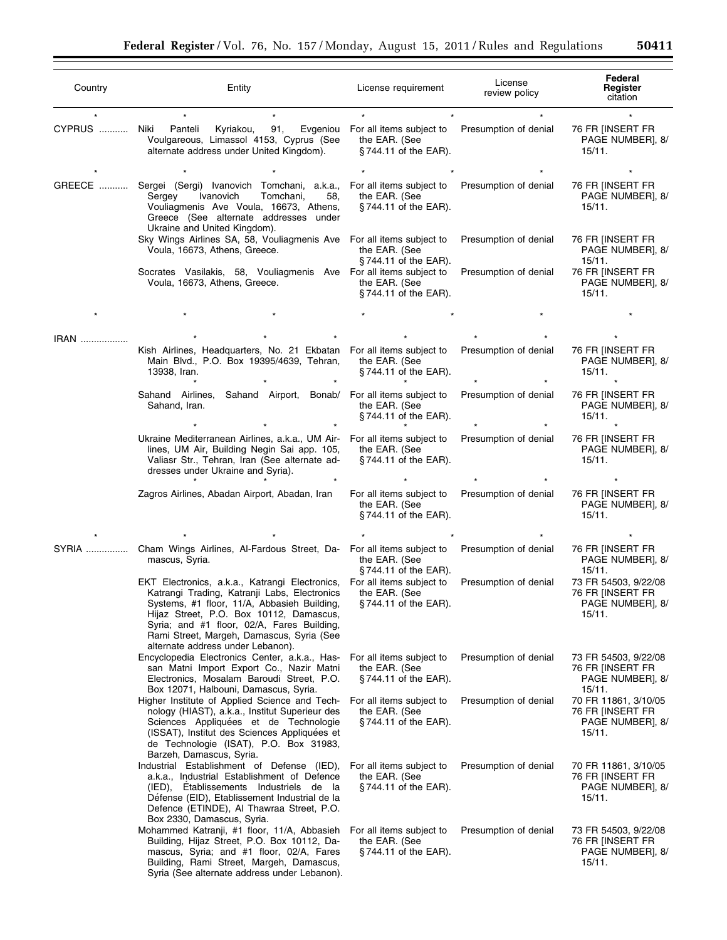| Country | Entity                                                                                                                                                                                                                                                                                                                   | License requirement                                                   | License<br>review policy                       | Federal<br>Register<br>citation<br>76 FR [INSERT FR<br>PAGE NUMBER], 8/<br>15/11. |  |
|---------|--------------------------------------------------------------------------------------------------------------------------------------------------------------------------------------------------------------------------------------------------------------------------------------------------------------------------|-----------------------------------------------------------------------|------------------------------------------------|-----------------------------------------------------------------------------------|--|
| CYPRUS  | Niki<br>91,<br>Panteli<br>Kyriakou,<br>Evgeniou<br>Voulgareous, Limassol 4153, Cyprus (See<br>alternate address under United Kingdom).                                                                                                                                                                                   | For all items subject to<br>the EAR. (See<br>§744.11 of the EAR).     | Presumption of denial                          |                                                                                   |  |
| GREECE  | Sergei (Sergi) Ivanovich Tomchani, a.k.a.,<br>Ivanovich<br>Tomchani,<br>Sergey<br>58.<br>Vouliagmenis Ave Voula, 16673, Athens,<br>Greece (See alternate addresses under<br>Ukraine and United Kingdom).                                                                                                                 | For all items subject to<br>the EAR. (See<br>§744.11 of the EAR).     | Presumption of denial                          | 76 FR [INSERT FR<br>PAGE NUMBER], 8/<br>15/11.                                    |  |
|         | Sky Wings Airlines SA, 58, Vouliagmenis Ave For all items subject to<br>Voula, 16673, Athens, Greece.<br>Socrates Vasilakis, 58, Vouliagmenis Ave For all items subject to                                                                                                                                               | the EAR. (See<br>$\S$ 744.11 of the EAR).                             | Presumption of denial<br>Presumption of denial | 76 FR [INSERT FR<br>PAGE NUMBER], 8/<br>15/11.<br>76 FR [INSERT FR                |  |
|         | Voula, 16673, Athens, Greece.                                                                                                                                                                                                                                                                                            | the EAR. (See<br>$§744.11$ of the EAR).                               |                                                | PAGE NUMBER], 8/<br>15/11.                                                        |  |
|         |                                                                                                                                                                                                                                                                                                                          |                                                                       |                                                |                                                                                   |  |
| IRAN    | Kish Airlines, Headquarters, No. 21 Ekbatan For all items subject to<br>Main Blvd., P.O. Box 19395/4639, Tehran,<br>13938, Iran.                                                                                                                                                                                         | the EAR. (See<br>$§744.11$ of the EAR).                               | Presumption of denial                          | 76 FR [INSERT FR<br>PAGE NUMBER], 8/<br>15/11.                                    |  |
|         | Sahand Airlines,<br>Sahand Airport, Bonab/<br>Sahand, Iran.                                                                                                                                                                                                                                                              | For all items subject to<br>the EAR. (See<br>$§744.11$ of the EAR).   | Presumption of denial                          | 76 FR [INSERT FR<br>PAGE NUMBER], 8/<br>15/11.                                    |  |
|         | Ukraine Mediterranean Airlines, a.k.a., UM Air-<br>lines, UM Air, Building Negin Sai app. 105,<br>Valiasr Str., Tehran, Iran (See alternate ad-<br>dresses under Ukraine and Syria).                                                                                                                                     | For all items subject to<br>the EAR. (See<br>$§744.11$ of the EAR).   | Presumption of denial                          | 76 FR [INSERT FR<br>PAGE NUMBER], 8/<br>15/11.                                    |  |
|         | Zagros Airlines, Abadan Airport, Abadan, Iran                                                                                                                                                                                                                                                                            | For all items subject to<br>the EAR. (See<br>$§744.11$ of the EAR).   | Presumption of denial                          | 76 FR [INSERT FR<br>PAGE NUMBER], 8/<br>15/11.                                    |  |
|         |                                                                                                                                                                                                                                                                                                                          |                                                                       |                                                |                                                                                   |  |
| SYRIA   | Cham Wings Airlines, Al-Fardous Street, Da- For all items subject to<br>mascus, Syria.                                                                                                                                                                                                                                   | the EAR. (See<br>§744.11 of the EAR).                                 | Presumption of denial                          | 76 FR [INSERT FR<br>PAGE NUMBER], 8/<br>15/11.                                    |  |
|         | EKT Electronics, a.k.a., Katrangi Electronics,<br>Katrangi Trading, Katranji Labs, Electronics<br>Systems, #1 floor, 11/A, Abbasieh Building,<br>Hijaz Street, P.O. Box 10112, Damascus,<br>Syria; and #1 floor, 02/A, Fares Building,<br>Rami Street, Margeh, Damascus, Syria (See<br>alternate address under Lebanon). | For all items subject to<br>the EAR. (See<br>$\S$ 744.11 of the EAR). | Presumption of denial                          | 73 FR 54503, 9/22/08<br>76 FR [INSERT FR<br>PAGE NUMBER], 8/<br>15/11.            |  |
|         | Encyclopedia Electronics Center, a.k.a., Has-<br>san Matni Import Export Co., Nazir Matni<br>Electronics, Mosalam Baroudi Street, P.O.<br>Box 12071, Halbouni, Damascus, Syria.                                                                                                                                          | For all items subject to<br>the EAR. (See<br>$\S$ 744.11 of the EAR). | Presumption of denial                          | 73 FR 54503, 9/22/08<br>76 FR [INSERT FR<br>PAGE NUMBER], 8/<br>15/11.            |  |
|         | Higher Institute of Applied Science and Tech-<br>nology (HIAST), a.k.a., Institut Superieur des<br>Sciences Appliquées et de Technologie<br>(ISSAT), Institut des Sciences Appliquées et<br>de Technologie (ISAT), P.O. Box 31983,<br>Barzeh, Damascus, Syria.                                                           | For all items subject to<br>the EAR. (See<br>$\S$ 744.11 of the EAR). | Presumption of denial                          | 70 FR 11861, 3/10/05<br>76 FR [INSERT FR<br>PAGE NUMBER], 8/<br>15/11.            |  |
|         | Industrial Establishment of Defense (IED),<br>a.k.a., Industrial Establishment of Defence<br>(IED), Etablissements Industriels de la<br>Défense (EID), Etablissement Industrial de la<br>Defence (ETINDE), Al Thawraa Street, P.O.<br>Box 2330, Damascus, Syria.                                                         | For all items subject to<br>the EAR. (See<br>$§744.11$ of the EAR).   | Presumption of denial                          | 70 FR 11861, 3/10/05<br>76 FR [INSERT FR<br>PAGE NUMBER], 8/<br>15/11.            |  |
|         | Mohammed Katranji, #1 floor, 11/A, Abbasieh<br>Building, Hijaz Street, P.O. Box 10112, Da-<br>mascus, Syria; and #1 floor, 02/A, Fares<br>Building, Rami Street, Margeh, Damascus,<br>Syria (See alternate address under Lebanon).                                                                                       | For all items subject to<br>the EAR. (See<br>$\S$ 744.11 of the EAR). | Presumption of denial                          | 73 FR 54503, 9/22/08<br>76 FR [INSERT FR<br>PAGE NUMBER], 8/<br>15/11.            |  |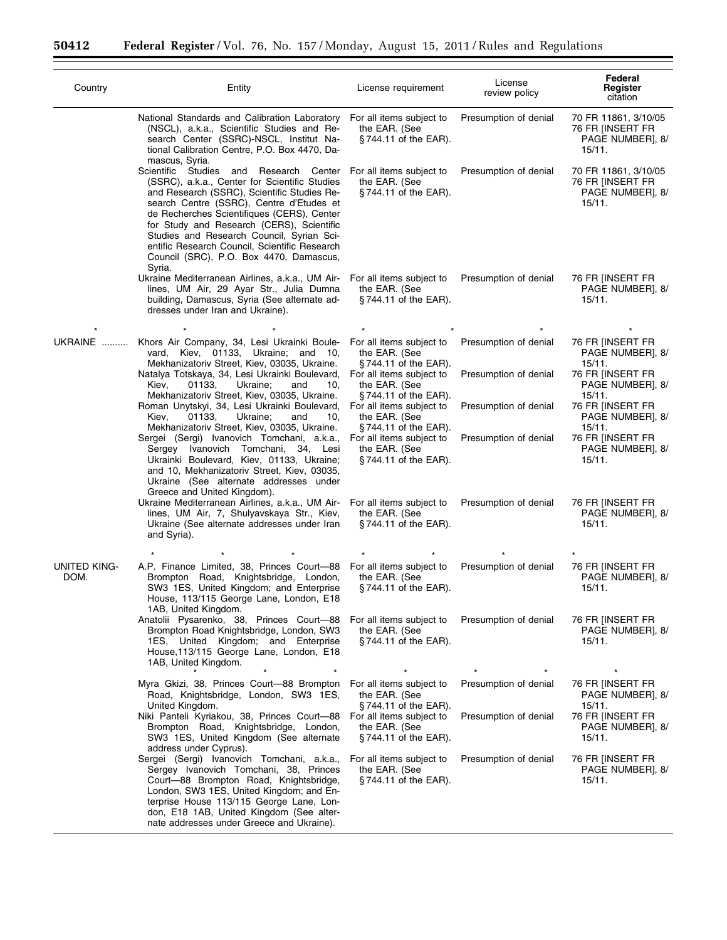۲

 $\equiv$ 

| Country              | Entity                                                                                                                                                                                                                                                                                                                                                                                                                                 | License requirement                                                                           | License<br>review policy | Federal<br>Register<br>citation                                        |  |
|----------------------|----------------------------------------------------------------------------------------------------------------------------------------------------------------------------------------------------------------------------------------------------------------------------------------------------------------------------------------------------------------------------------------------------------------------------------------|-----------------------------------------------------------------------------------------------|--------------------------|------------------------------------------------------------------------|--|
|                      | National Standards and Calibration Laboratory<br>(NSCL), a.k.a., Scientific Studies and Re-<br>search Center (SSRC)-NSCL, Institut Na-<br>tional Calibration Centre, P.O. Box 4470, Da-<br>mascus, Syria.                                                                                                                                                                                                                              | For all items subject to<br>the EAR. (See<br>$§744.11$ of the EAR).                           | Presumption of denial    | 70 FR 11861, 3/10/05<br>76 FR [INSERT FR<br>PAGE NUMBER], 8/<br>15/11. |  |
|                      | Scientific Studies<br>Research Center<br>and<br>(SSRC), a.k.a., Center for Scientific Studies<br>and Research (SSRC), Scientific Studies Re-<br>search Centre (SSRC), Centre d'Etudes et<br>de Recherches Scientifiques (CERS), Center<br>for Study and Research (CERS), Scientific<br>Studies and Research Council, Syrian Sci-<br>entific Research Council, Scientific Research<br>Council (SRC), P.O. Box 4470, Damascus,<br>Syria. | For all items subject to<br>the EAR. (See<br>$§744.11$ of the EAR).                           | Presumption of denial    | 70 FR 11861, 3/10/05<br>76 FR [INSERT FR<br>PAGE NUMBER], 8/<br>15/11. |  |
|                      | Ukraine Mediterranean Airlines, a.k.a., UM Air-<br>lines, UM Air, 29 Ayar Str., Julia Dumna<br>building, Damascus, Syria (See alternate ad-<br>dresses under Iran and Ukraine).                                                                                                                                                                                                                                                        | For all items subject to<br>the EAR. (See<br>§744.11 of the EAR).                             | Presumption of denial    | 76 FR [INSERT FR<br>PAGE NUMBER], 8/<br>15/11.                         |  |
| UKRAINE              | Khors Air Company, 34, Lesi Ukrainki Boule-<br>Kiev, 01133, Ukraine; and 10,<br>vard,                                                                                                                                                                                                                                                                                                                                                  | For all items subject to<br>the EAR. (See                                                     | Presumption of denial    | 76 FR IINSERT FR<br>PAGE NUMBER], 8/                                   |  |
|                      | Mekhanizatoriv Street, Kiev, 03035, Ukraine.<br>Natalya Totskaya, 34, Lesi Ukrainki Boulevard,<br>Kiev,<br>Ukraine;<br>01133,<br>and<br>10,                                                                                                                                                                                                                                                                                            | $\S$ 744.11 of the EAR).<br>For all items subject to<br>the EAR. (See                         | Presumption of denial    | 15/11.<br>76 FR [INSERT FR<br>PAGE NUMBER], 8/                         |  |
|                      | Mekhanizatoriv Street, Kiev, 03035, Ukraine.<br>Roman Unytskyi, 34, Lesi Ukrainki Boulevard,<br>Ukraine;<br>Kiev,<br>01133,<br>and<br>10,                                                                                                                                                                                                                                                                                              | §744.11 of the EAR).<br>For all items subject to<br>the EAR. (See                             | Presumption of denial    | 15/11.<br>76 FR [INSERT FR<br>PAGE NUMBER], 8/                         |  |
|                      | Mekhanizatoriv Street, Kiev, 03035, Ukraine.<br>Sergei (Sergi) Ivanovich Tomchani, a.k.a.,<br>Sergey Ivanovich Tomchani, 34, Lesi<br>Ukrainki Boulevard, Kiev, 01133, Ukraine;<br>and 10, Mekhanizatoriv Street, Kiev, 03035,<br>Ukraine (See alternate addresses under<br>Greece and United Kingdom).                                                                                                                                 | §744.11 of the EAR).<br>For all items subject to<br>the EAR. (See<br>$\S$ 744.11 of the EAR). | Presumption of denial    | 15/11.<br>76 FR [INSERT FR<br>PAGE NUMBER], 8/<br>15/11.               |  |
|                      | Ukraine Mediterranean Airlines, a.k.a., UM Air-<br>lines, UM Air, 7, Shulyavskaya Str., Kiev,<br>Ukraine (See alternate addresses under Iran<br>and Syria).                                                                                                                                                                                                                                                                            | For all items subject to<br>the EAR. (See<br>$§744.11$ of the EAR).                           | Presumption of denial    | 76 FR [INSERT FR<br>PAGE NUMBER], 8/<br>15/11.                         |  |
|                      |                                                                                                                                                                                                                                                                                                                                                                                                                                        |                                                                                               |                          |                                                                        |  |
| UNITED KING-<br>DOM. | A.P. Finance Limited, 38, Princes Court-88<br>Brompton Road, Knightsbridge, London,<br>SW3 1ES, United Kingdom; and Enterprise<br>House, 113/115 George Lane, London, E18<br>1AB, United Kingdom.                                                                                                                                                                                                                                      | For all items subject to<br>the EAR. (See<br>$§744.11$ of the EAR).                           | Presumption of denial    | 76 FR [INSERT FR<br>PAGE NUMBER], 8/<br>15/11.                         |  |
|                      | Anatolii Pysarenko, 38, Princes Court-88<br>Brompton Road Knightsbridge, London, SW3<br>1ES, United Kingdom; and Enterprise<br>House, 113/115 George Lane, London, E18<br>1AB, United Kingdom.                                                                                                                                                                                                                                         | For all items subject to<br>the EAR. (See<br>$\S$ 744.11 of the EAR).                         | Presumption of denial    | 76 FR [INSERT FR<br>PAGE NUMBER], 8/<br>15/11.                         |  |
|                      | Myra Gkizi, 38, Princes Court-88 Brompton<br>Road, Knightsbridge, London, SW3 1ES,<br>United Kingdom.                                                                                                                                                                                                                                                                                                                                  | For all items subject to<br>the EAR. (See<br>$\S$ 744.11 of the EAR).                         | Presumption of denial    | 76 FR IINSERT FR<br>PAGE NUMBER], 8/<br>15/11.                         |  |
|                      | Niki Panteli Kyriakou, 38, Princes Court-88<br>Brompton Road, Knightsbridge, London,<br>SW3 1ES, United Kingdom (See alternate<br>address under Cyprus).                                                                                                                                                                                                                                                                               | For all items subject to<br>the EAR. (See<br>$\S$ 744.11 of the EAR).                         | Presumption of denial    | 76 FR [INSERT FR<br>PAGE NUMBER], 8/<br>15/11.                         |  |
|                      | Sergei (Sergi) Ivanovich Tomchani, a.k.a.,<br>Sergey Ivanovich Tomchani, 38, Princes<br>Court-88 Brompton Road, Knightsbridge,<br>London, SW3 1ES, United Kingdom; and En-<br>terprise House 113/115 George Lane, Lon-<br>don, E18 1AB, United Kingdom (See alter-<br>nate addresses under Greece and Ukraine).                                                                                                                        | For all items subject to<br>the EAR. (See<br>§744.11 of the EAR).                             | Presumption of denial    | 76 FR [INSERT FR<br>PAGE NUMBER], 8/<br>15/11.                         |  |